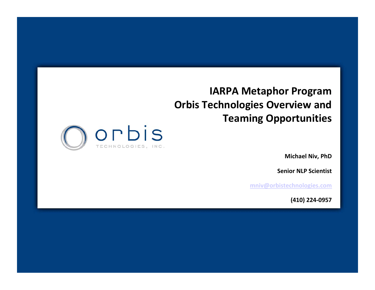#### **IARPA Metaphor Program Orbis Technologies Overview and Teaming Opportunities**



**Michael Niv, PhD**

**Senior NLP Scientist**

**[mniv@orbistechnologies.com](mailto:mniv@orbistechnologies.com)**

**(410) 224‐0957**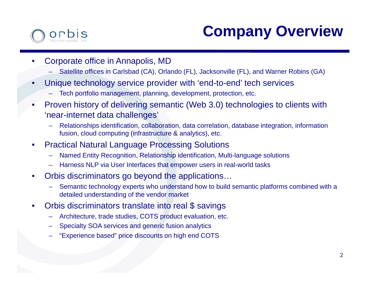# **Company Overview**

- • Corporate office in Annapolis, MD
	- Satellite offices in Carlsbad (CA), Orlando (FL), Jacksonville (FL), and Warner Robins (GA)
- • Unique technology service provider with 'end-to-end' tech services
	- Tech portfolio management, planning, development, protection, etc.
- • Proven history of delivering semantic (Web 3.0) technologies to clients with 'near-internet data challenges'
	- – Relationships identification, collaboration, data correlation, database integration, information fusion, cloud computing (infrastructure & analytics), etc.
- • Practical Natural Language Processing Solutions
	- –Named Entity Recognition, Relationship identification, Multi-language solutions
	- –Harness NLP via User Interfaces that empower users in real-world tasks
- $\bullet$  Orbis discriminators go beyond the applications…
	- Semantic technology experts who understand how to build semantic platforms combined with a detailed understanding of the vendor market
- • Orbis discriminators translate into real \$ savings
	- –Architecture, trade studies, COTS product evaluation, etc.
	- –Specialty SOA services and generic fusion analytics
	- –"Experience based" price discounts on high end COTS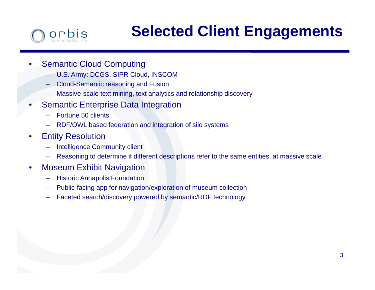### orbis

# **Selected Client Engagements**

#### •Semantic Cloud Computing

- U.S. Army: DCGS, SIPR Cloud, INSCOM
- Cloud-Semantic reasoning and Fusion
- –Massive-scale text mining, text analytics and relationship discovery
- • Semantic Enterprise Data Integration
	- Fortune 50 clients
	- RDF/OWL based federation and integration of silo systems
- • Entity Resolution
	- –Intelligence Community client
	- –Reasoning to determine if different descriptions refer to the same entities, at massive scale
- • Museum Exhibit Navigation
	- Historic Annapolis Foundation
	- –Public-facing app for navigation/exploration of museum collection
	- –Faceted search/discovery powered by semantic/RDF technology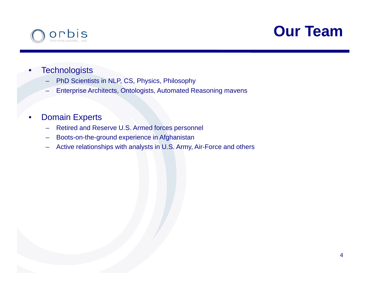

### **Our Team**

- •**Technologists** 
	- –PhD Scientists in NLP, CS, Physics, Philosophy
	- Enterprise Architects, Ontologists, Automated Reasoning mavens
- • Domain Experts
	- –Retired and Reserve U.S. Armed forces personnel
	- –Boots-on-the-ground experience in Afghanistan
	- –Active relationships with analysts in U.S. Army, Air-Force and others